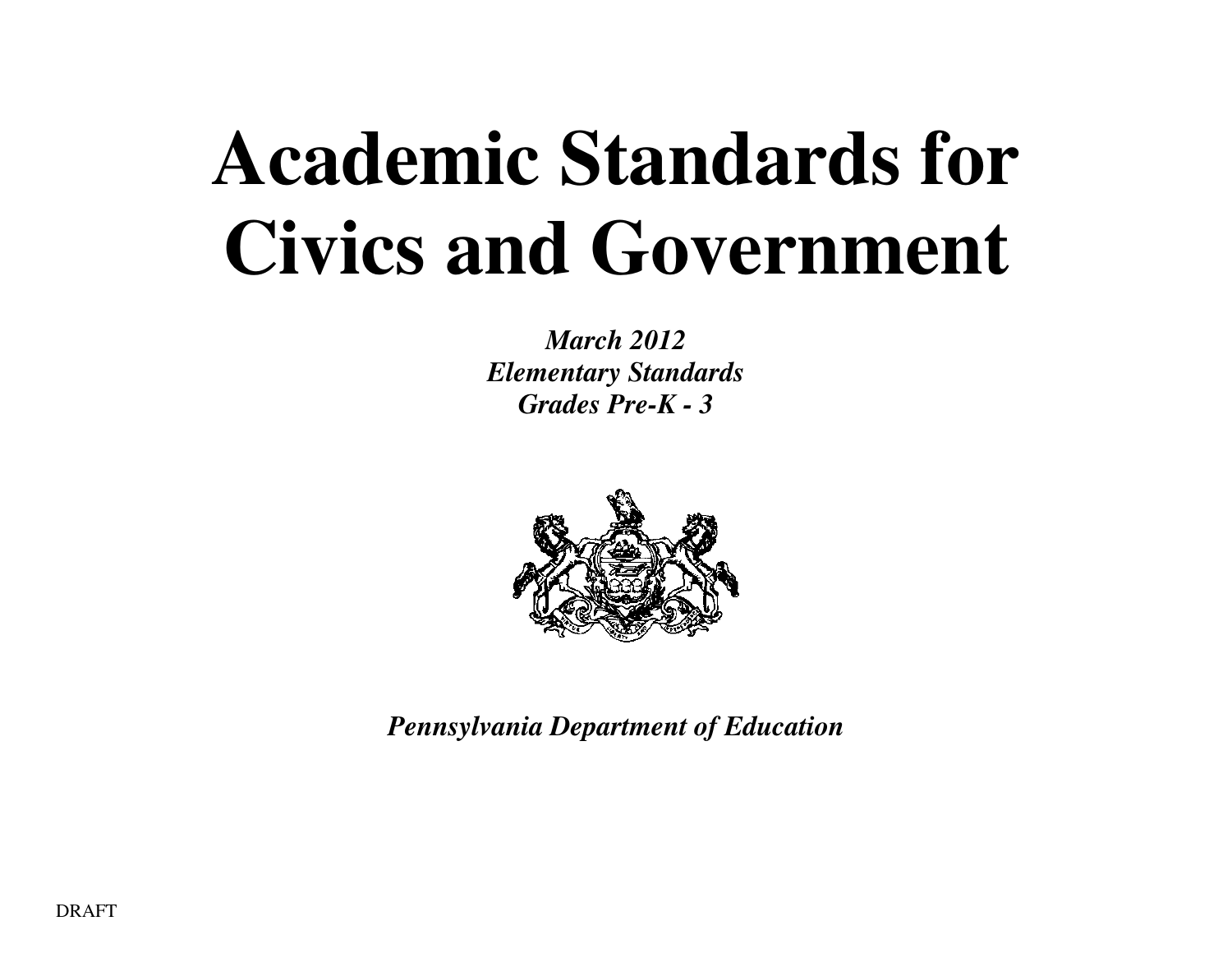# **Academic Standards for Civics and Government**

*March 2012 Elementary Standards Grades Pre-K - 3* 



*Pennsylvania Department of Education*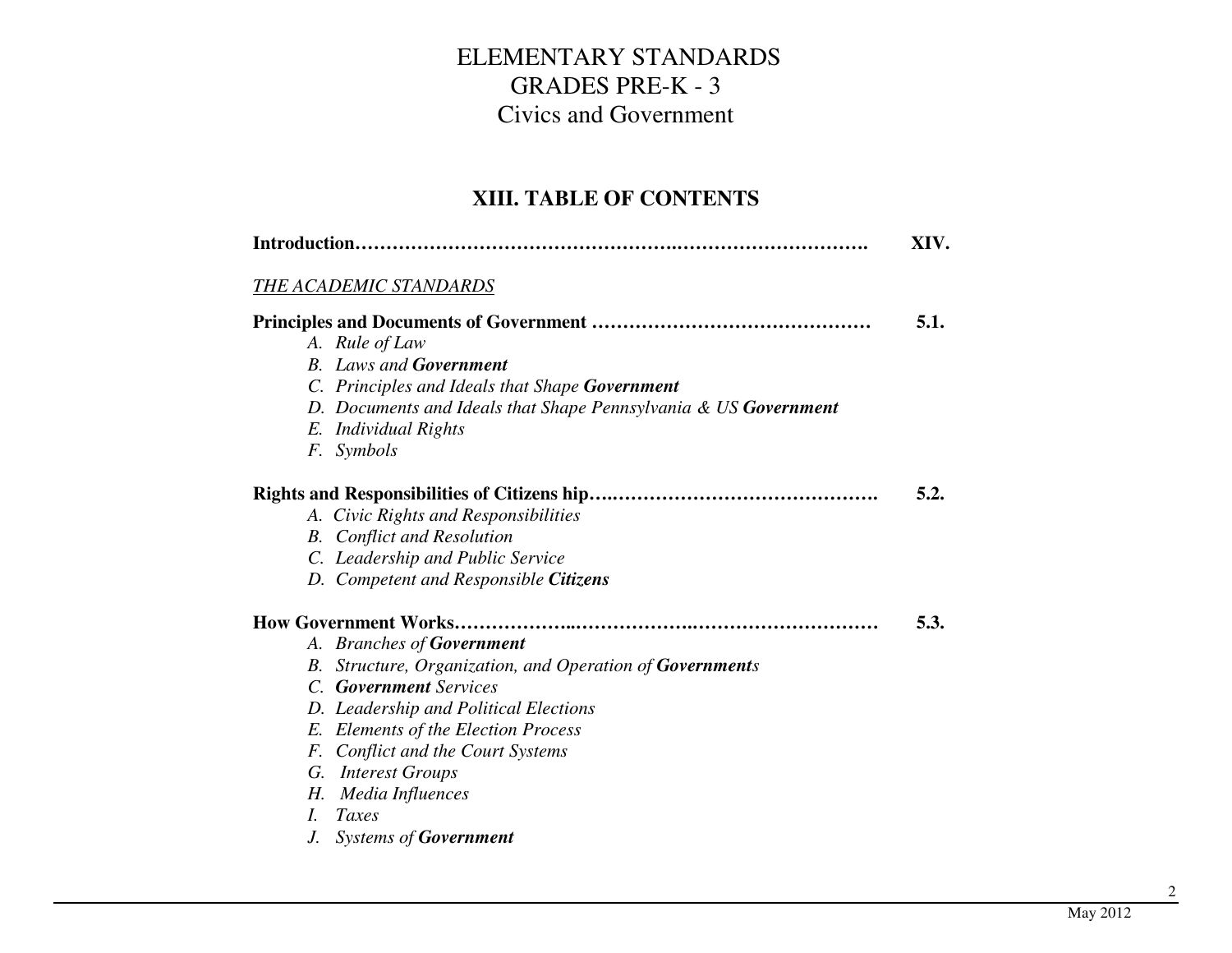#### **XIII. TABLE OF CONTENTS**

|    |                                                                 | XIV. |
|----|-----------------------------------------------------------------|------|
|    | <b>THE ACADEMIC STANDARDS</b>                                   |      |
|    |                                                                 | 5.1. |
|    | A. Rule of Law                                                  |      |
|    | <b>B.</b> Laws and <b>Government</b>                            |      |
|    | C. Principles and Ideals that Shape Government                  |      |
|    | D. Documents and Ideals that Shape Pennsylvania & US Government |      |
|    | E. Individual Rights                                            |      |
|    | F. Symbols                                                      |      |
|    |                                                                 | 5.2. |
|    | A. Civic Rights and Responsibilities                            |      |
|    | <b>B.</b> Conflict and Resolution                               |      |
|    | C. Leadership and Public Service                                |      |
|    | D. Competent and Responsible Citizens                           |      |
|    |                                                                 | 5.3. |
|    | A. Branches of <b>Government</b>                                |      |
|    | B. Structure, Organization, and Operation of Governments        |      |
|    | C. Government Services                                          |      |
|    | D. Leadership and Political Elections                           |      |
|    | E. Elements of the Election Process                             |      |
|    | F. Conflict and the Court Systems                               |      |
|    | G. Interest Groups                                              |      |
| Н. | Media Influences                                                |      |
| L  | Taxes                                                           |      |
| J. | <b>Systems of Government</b>                                    |      |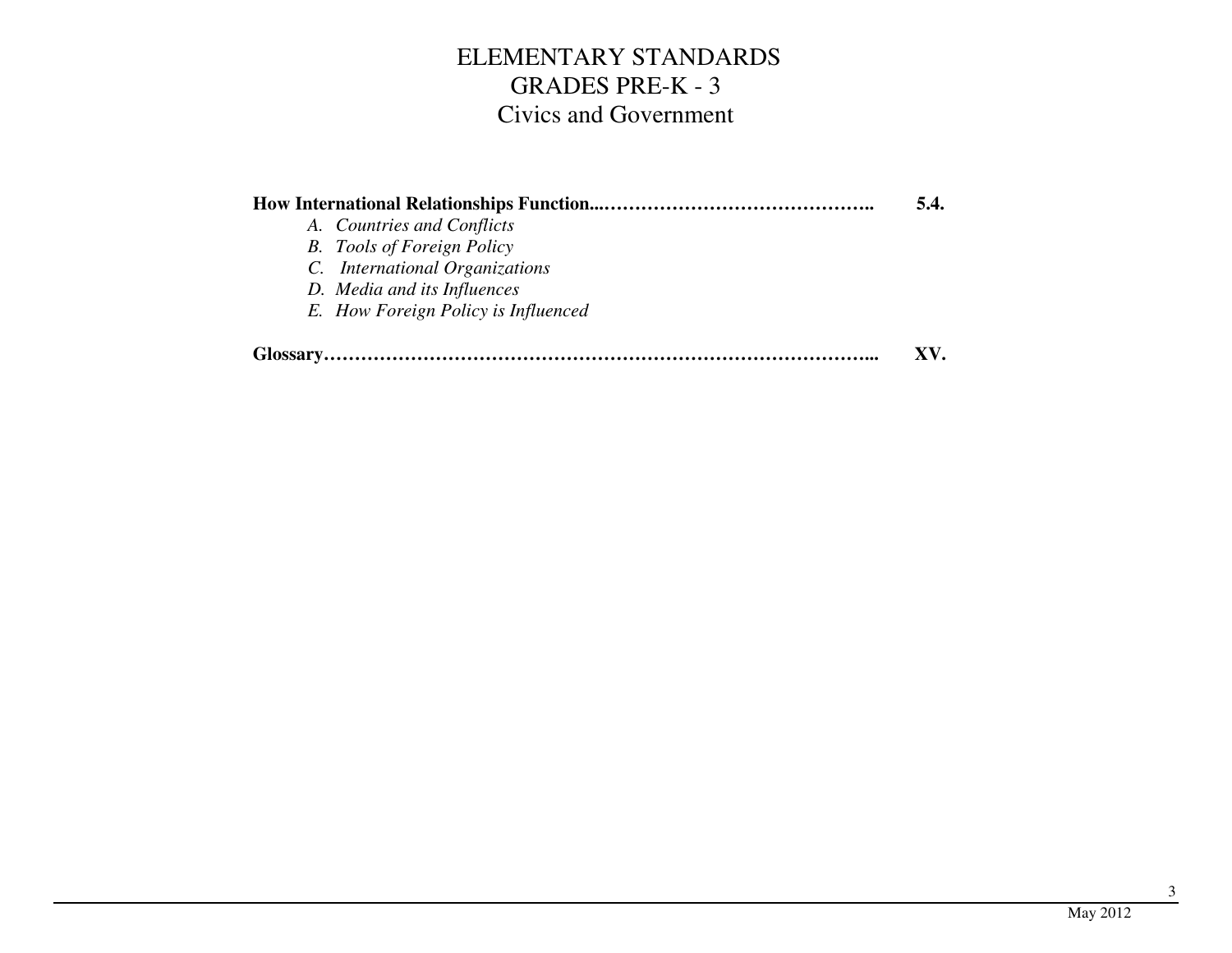|                                     | 5.4. |
|-------------------------------------|------|
| A. Countries and Conflicts          |      |
| <b>B.</b> Tools of Foreign Policy   |      |
| C. International Organizations      |      |
| D. Media and its Influences         |      |
| E. How Foreign Policy is Influenced |      |
|                                     | XV.  |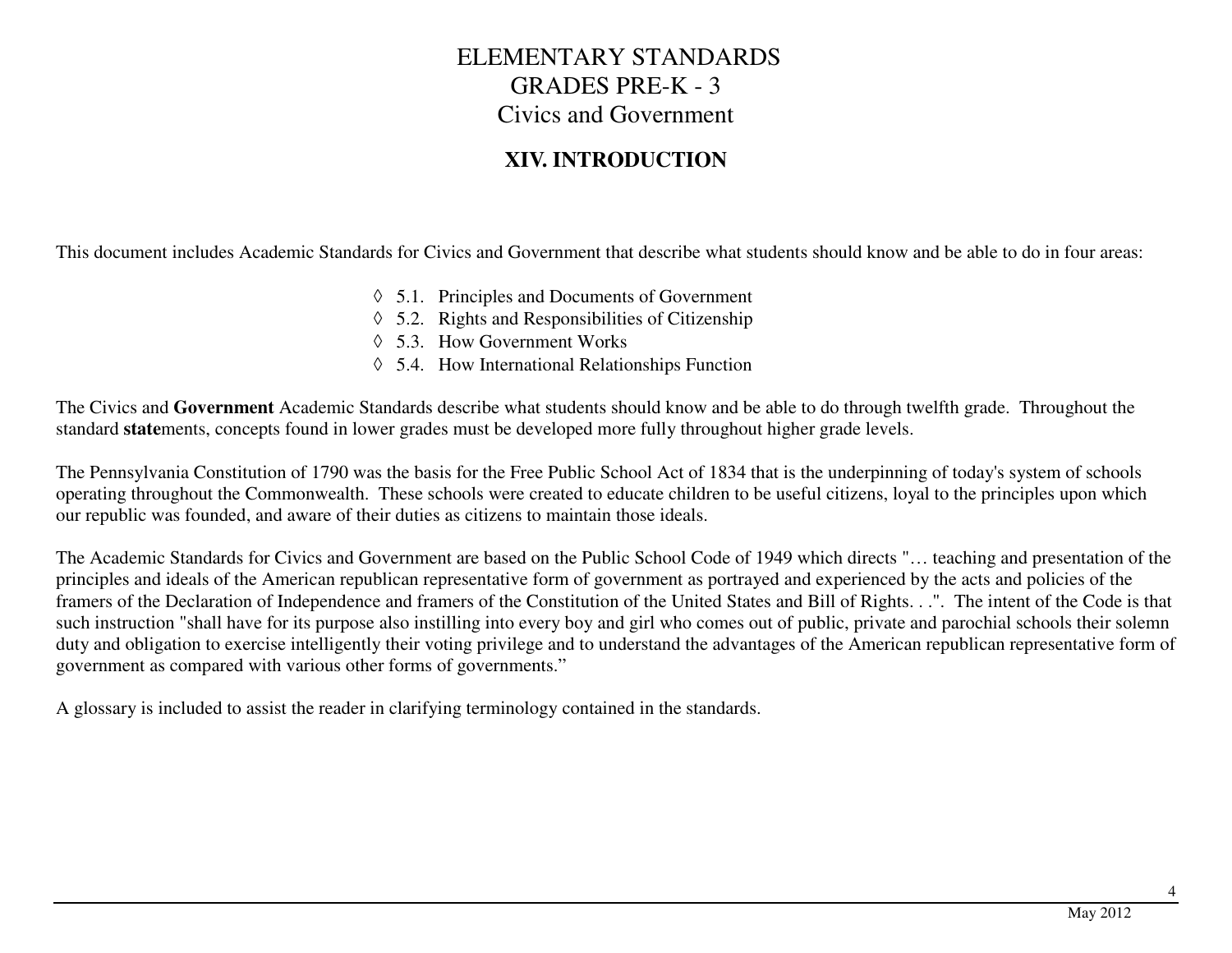#### **XIV. INTRODUCTION**

This document includes Academic Standards for Civics and Government that describe what students should know and be able to do in four areas:

- ◊ 5.1. Principles and Documents of Government
- ◊ 5.2. Rights and Responsibilities of Citizenship
- ◊ 5.3. How Government Works
- ◊ 5.4. How International Relationships Function

The Civics and **Government** Academic Standards describe what students should know and be able to do through twelfth grade. Throughout the standard **state**ments, concepts found in lower grades must be developed more fully throughout higher grade levels.

The Pennsylvania Constitution of 1790 was the basis for the Free Public School Act of 1834 that is the underpinning of today's system of schools operating throughout the Commonwealth. These schools were created to educate children to be useful citizens, loyal to the principles upon which our republic was founded, and aware of their duties as citizens to maintain those ideals.

The Academic Standards for Civics and Government are based on the Public School Code of 1949 which directs "… teaching and presentation of the principles and ideals of the American republican representative form of government as portrayed and experienced by the acts and policies of the framers of the Declaration of Independence and framers of the Constitution of the United States and Bill of Rights. . .". The intent of the Code is that such instruction "shall have for its purpose also instilling into every boy and girl who comes out of public, private and parochial schools their solemn duty and obligation to exercise intelligently their voting privilege and to understand the advantages of the American republican representative form of government as compared with various other forms of governments."

A glossary is included to assist the reader in clarifying terminology contained in the standards.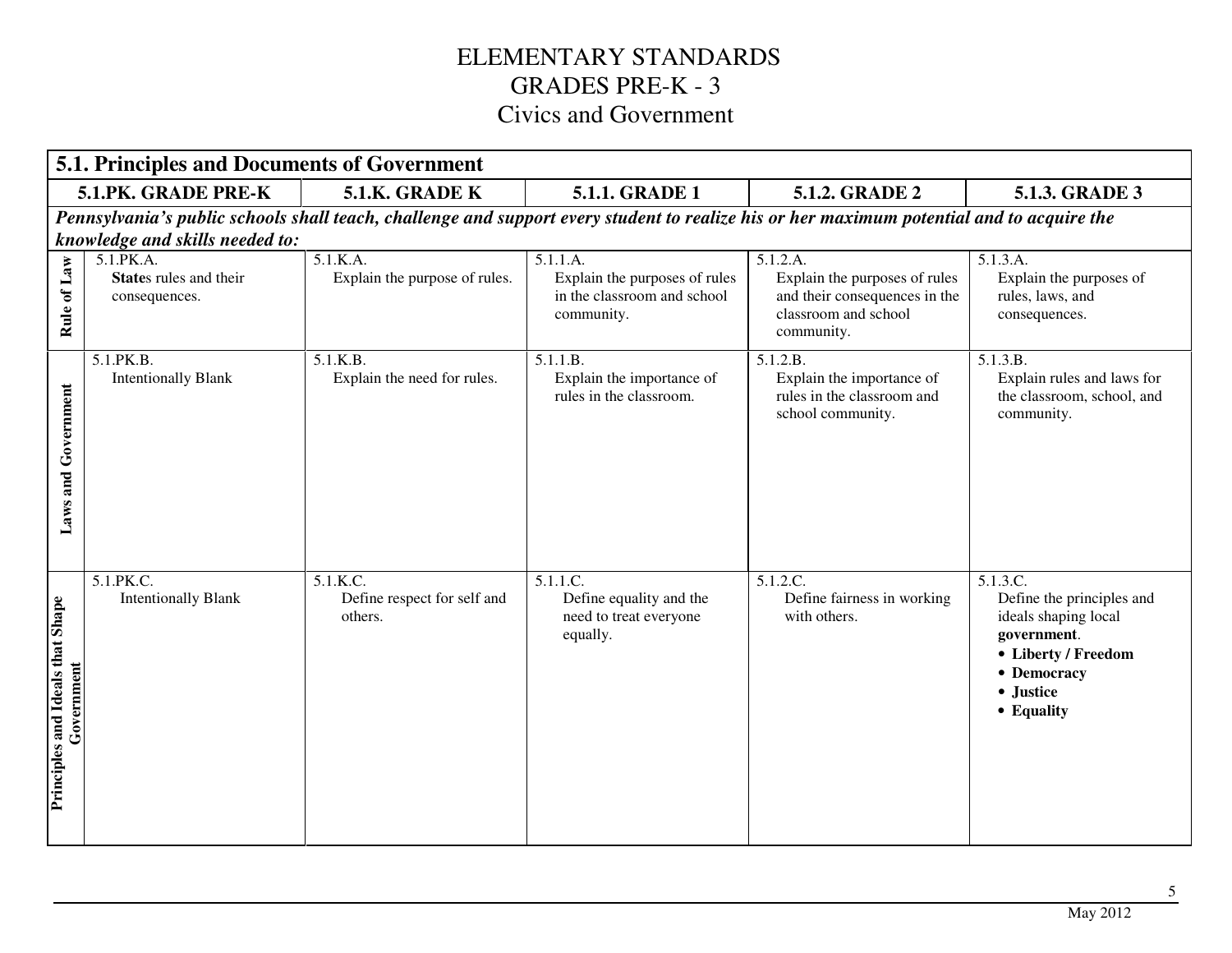|                                                | <b>5.1. Principles and Documents of Government</b>   |                                                    |                                                                                                                                           |                                                                                                                  |                                                                                                                                               |
|------------------------------------------------|------------------------------------------------------|----------------------------------------------------|-------------------------------------------------------------------------------------------------------------------------------------------|------------------------------------------------------------------------------------------------------------------|-----------------------------------------------------------------------------------------------------------------------------------------------|
|                                                | 5.1.PK. GRADE PRE-K                                  | 5.1.K. GRADE K                                     | <b>5.1.1. GRADE 1</b>                                                                                                                     | 5.1.2. GRADE 2                                                                                                   | 5.1.3. GRADE 3                                                                                                                                |
|                                                |                                                      |                                                    | Pennsylvania's public schools shall teach, challenge and support every student to realize his or her maximum potential and to acquire the |                                                                                                                  |                                                                                                                                               |
|                                                | knowledge and skills needed to:                      |                                                    |                                                                                                                                           |                                                                                                                  |                                                                                                                                               |
| of Law<br>Rule                                 | 5.1.PK.A.<br>States rules and their<br>consequences. | 5.1.K.A.<br>Explain the purpose of rules.          | 5.1.1.A.<br>Explain the purposes of rules<br>in the classroom and school<br>community.                                                    | 5.1.2.A.<br>Explain the purposes of rules<br>and their consequences in the<br>classroom and school<br>community. | 5.1.3.A.<br>Explain the purposes of<br>rules, laws, and<br>consequences.                                                                      |
| Government<br>and<br>Laws:                     | 5.1.PK.B.<br><b>Intentionally Blank</b>              | 5.1.K.B.<br>Explain the need for rules.            | 5.1.1.B.<br>Explain the importance of<br>rules in the classroom.                                                                          | 5.1.2.B.<br>Explain the importance of<br>rules in the classroom and<br>school community.                         | 5.1.3.B.<br>Explain rules and laws for<br>the classroom, school, and<br>community.                                                            |
| Principles and Ideals that Shape<br>Government | 5.1.PK.C.<br><b>Intentionally Blank</b>              | 5.1.K.C.<br>Define respect for self and<br>others. | 5.1.1.C.<br>Define equality and the<br>need to treat everyone<br>equally.                                                                 | 5.1.2.C.<br>Define fairness in working<br>with others.                                                           | 5.1.3.C.<br>Define the principles and<br>ideals shaping local<br>government.<br>• Liberty / Freedom<br>• Democracy<br>• Justice<br>• Equality |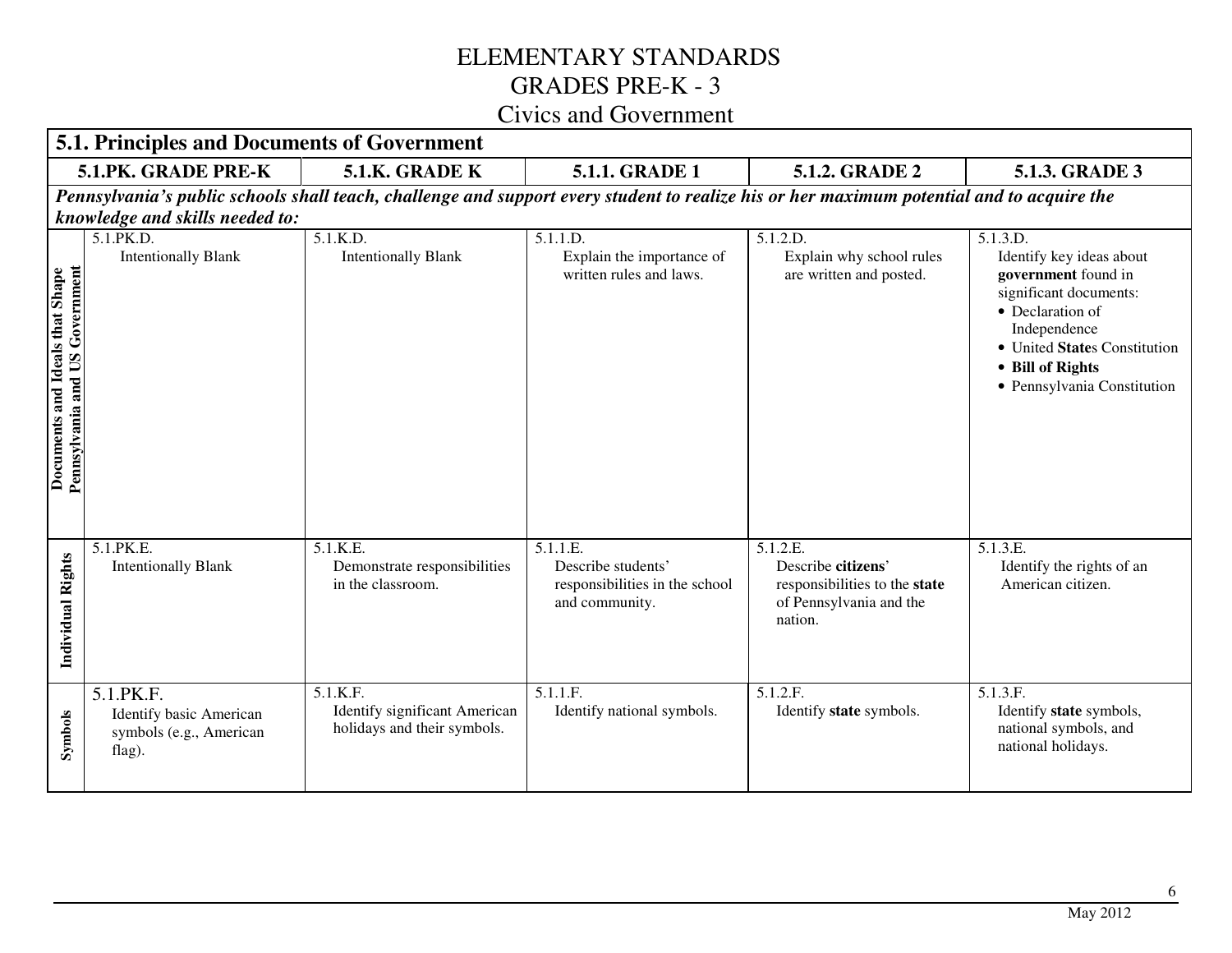|                                                                   | $\cup$ i v ic $\cup$ and $\cup$ o v chimichi<br>5.1. Principles and Documents of Government |                                                                                                                                           |                                                                                    |                                                                                                       |                                                                                                                                                                                                              |
|-------------------------------------------------------------------|---------------------------------------------------------------------------------------------|-------------------------------------------------------------------------------------------------------------------------------------------|------------------------------------------------------------------------------------|-------------------------------------------------------------------------------------------------------|--------------------------------------------------------------------------------------------------------------------------------------------------------------------------------------------------------------|
|                                                                   | 5.1.PK. GRADE PRE-K                                                                         | 5.1.K. GRADE K                                                                                                                            | 5.1.1. GRADE 1                                                                     | 5.1.2. GRADE 2                                                                                        | 5.1.3. GRADE 3                                                                                                                                                                                               |
|                                                                   |                                                                                             | Pennsylvania's public schools shall teach, challenge and support every student to realize his or her maximum potential and to acquire the |                                                                                    |                                                                                                       |                                                                                                                                                                                                              |
|                                                                   | knowledge and skills needed to:                                                             |                                                                                                                                           |                                                                                    |                                                                                                       |                                                                                                                                                                                                              |
| Pennsylvania and US Government<br>Documents and Ideals that Shape | 5.1.PK.D.<br><b>Intentionally Blank</b>                                                     | 5.1.K.D.<br><b>Intentionally Blank</b>                                                                                                    | 5.1.1.D.<br>Explain the importance of<br>written rules and laws.                   | 5.1.2.D.<br>Explain why school rules<br>are written and posted.                                       | 5.1.3.D.<br>Identify key ideas about<br>government found in<br>significant documents:<br>• Declaration of<br>Independence<br>· United States Constitution<br>• Bill of Rights<br>· Pennsylvania Constitution |
| Individual Rights                                                 | 5.1.PK.E.<br><b>Intentionally Blank</b>                                                     | 5.1.K.E.<br>Demonstrate responsibilities<br>in the classroom.                                                                             | 5.1.1.E.<br>Describe students'<br>responsibilities in the school<br>and community. | 5.1.2.E.<br>Describe citizens'<br>responsibilities to the state<br>of Pennsylvania and the<br>nation. | 5.1.3.E.<br>Identify the rights of an<br>American citizen.                                                                                                                                                   |
| Symbols                                                           | 5.1.PK.F.<br>Identify basic American<br>symbols (e.g., American<br>flag).                   | 5.1.K.F.<br><b>Identify significant American</b><br>holidays and their symbols.                                                           | 5.1.1.F.<br>Identify national symbols.                                             | 5.1.2.F.<br>Identify state symbols.                                                                   | 5.1.3.F.<br>Identify state symbols,<br>national symbols, and<br>national holidays.                                                                                                                           |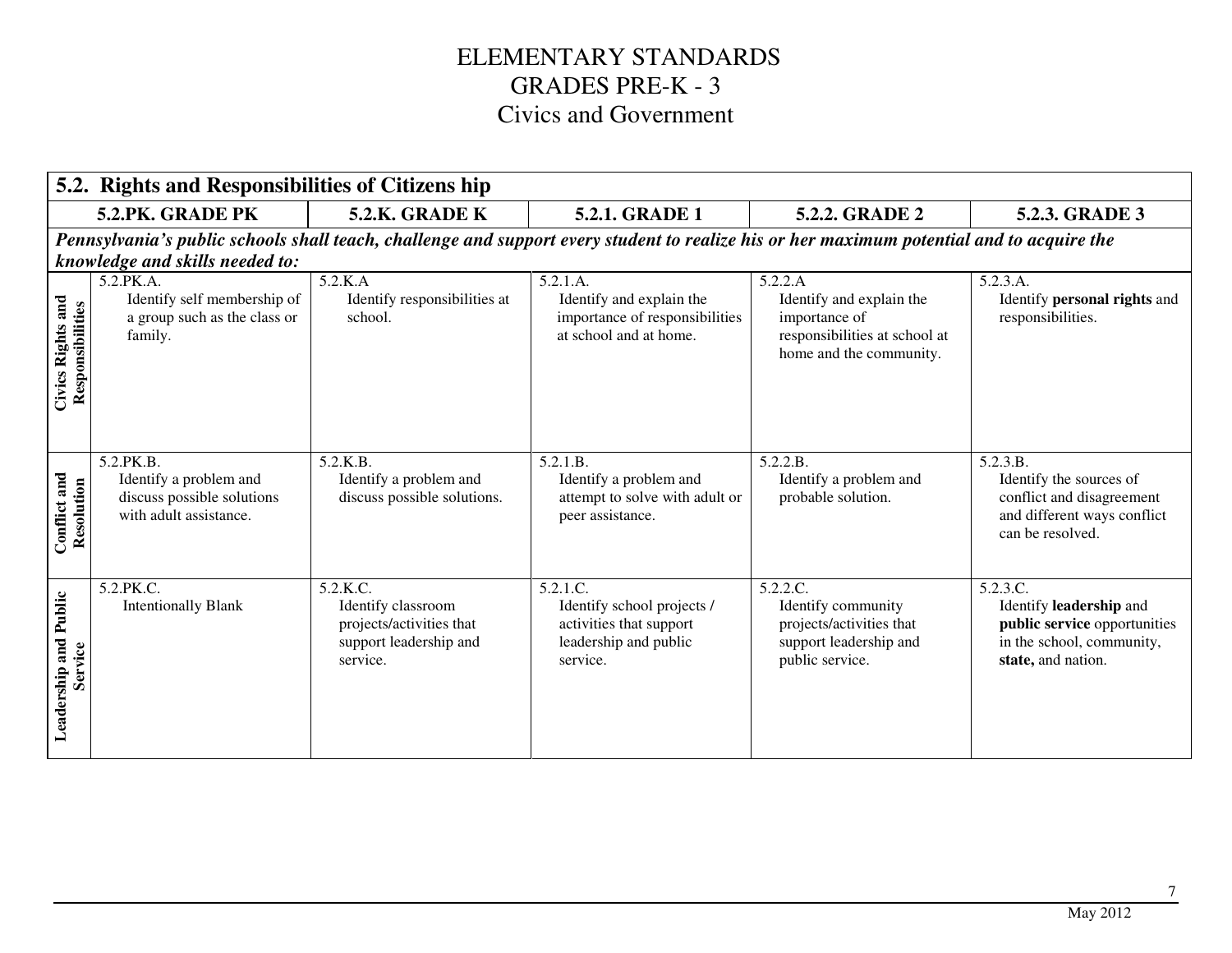|                                       | 5.2. Rights and Responsibilities of Citizens hip                                            |                                                                                                  |                                                                                                                                           |                                                                                                                  |                                                                                                                        |
|---------------------------------------|---------------------------------------------------------------------------------------------|--------------------------------------------------------------------------------------------------|-------------------------------------------------------------------------------------------------------------------------------------------|------------------------------------------------------------------------------------------------------------------|------------------------------------------------------------------------------------------------------------------------|
|                                       | 5.2.PK. GRADE PK                                                                            | <b>5.2.K. GRADE K</b>                                                                            | 5.2.1. GRADE 1                                                                                                                            | 5.2.2. GRADE 2                                                                                                   | 5.2.3. GRADE 3                                                                                                         |
|                                       | knowledge and skills needed to:                                                             |                                                                                                  | Pennsylvania's public schools shall teach, challenge and support every student to realize his or her maximum potential and to acquire the |                                                                                                                  |                                                                                                                        |
| Civics Rights and<br>Responsibilities | 5.2.PK.A.<br>Identify self membership of<br>a group such as the class or<br>family.         | 5.2.K.A<br>Identify responsibilities at<br>school.                                               | 5.2.1.A.<br>Identify and explain the<br>importance of responsibilities<br>at school and at home.                                          | 5.2.2.A<br>Identify and explain the<br>importance of<br>responsibilities at school at<br>home and the community. | 5.2.3.A.<br>Identify personal rights and<br>responsibilities.                                                          |
| Conflict and<br>Resolution            | 5.2.PK.B.<br>Identify a problem and<br>discuss possible solutions<br>with adult assistance. | 5.2.K.B.<br>Identify a problem and<br>discuss possible solutions.                                | 5.2.1.B.<br>Identify a problem and<br>attempt to solve with adult or<br>peer assistance.                                                  | 5.2.2.B.<br>Identify a problem and<br>probable solution.                                                         | 5.2.3.B.<br>Identify the sources of<br>conflict and disagreement<br>and different ways conflict<br>can be resolved.    |
| Leadership and Public<br>Service      | 5.2.PK.C.<br><b>Intentionally Blank</b>                                                     | 5.2.K.C.<br>Identify classroom<br>projects/activities that<br>support leadership and<br>service. | 5.2.1.C.<br>Identify school projects /<br>activities that support<br>leadership and public<br>service.                                    | 5.2.2.C.<br>Identify community<br>projects/activities that<br>support leadership and<br>public service.          | 5.2.3.C.<br>Identify leadership and<br>public service opportunities<br>in the school, community,<br>state, and nation. |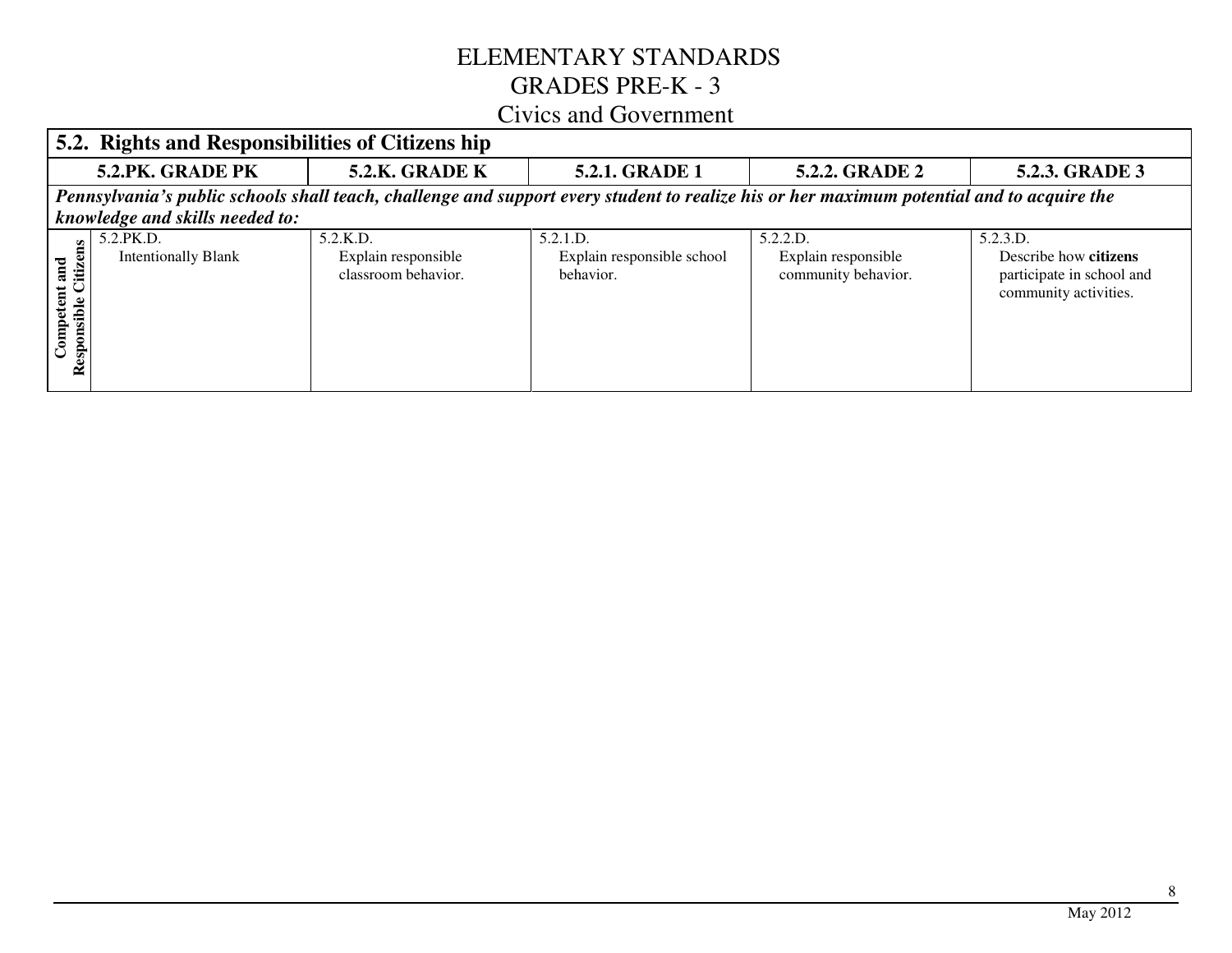## ELEMENTARY STANDARDS GRADES PRE-K - 3

#### Civics and Government

|                                                      | 5.2. Rights and Responsibilities of Citizens hip                                                                                                                             |                                                           |                                                     |                                                        |                                                                                         |  |
|------------------------------------------------------|------------------------------------------------------------------------------------------------------------------------------------------------------------------------------|-----------------------------------------------------------|-----------------------------------------------------|--------------------------------------------------------|-----------------------------------------------------------------------------------------|--|
|                                                      | 5.2.PK. GRADE PK                                                                                                                                                             | <b>5.2.K. GRADE K</b>                                     | <b>5.2.1. GRADE 1</b>                               | <b>5.2.2. GRADE 2</b>                                  | 5.2.3. GRADE 3                                                                          |  |
|                                                      | Pennsylvania's public schools shall teach, challenge and support every student to realize his or her maximum potential and to acquire the<br>knowledge and skills needed to: |                                                           |                                                     |                                                        |                                                                                         |  |
| t and<br>Citize<br>Competent<br>sible<br>espons<br>≃ | 5.2.PK.D.<br><b>Intentionally Blank</b>                                                                                                                                      | $5.2$ .K.D.<br>Explain responsible<br>classroom behavior. | 5.2.1.D.<br>Explain responsible school<br>behavior. | 5.2.2.D.<br>Explain responsible<br>community behavior. | 5.2.3.D.<br>Describe how citizens<br>participate in school and<br>community activities. |  |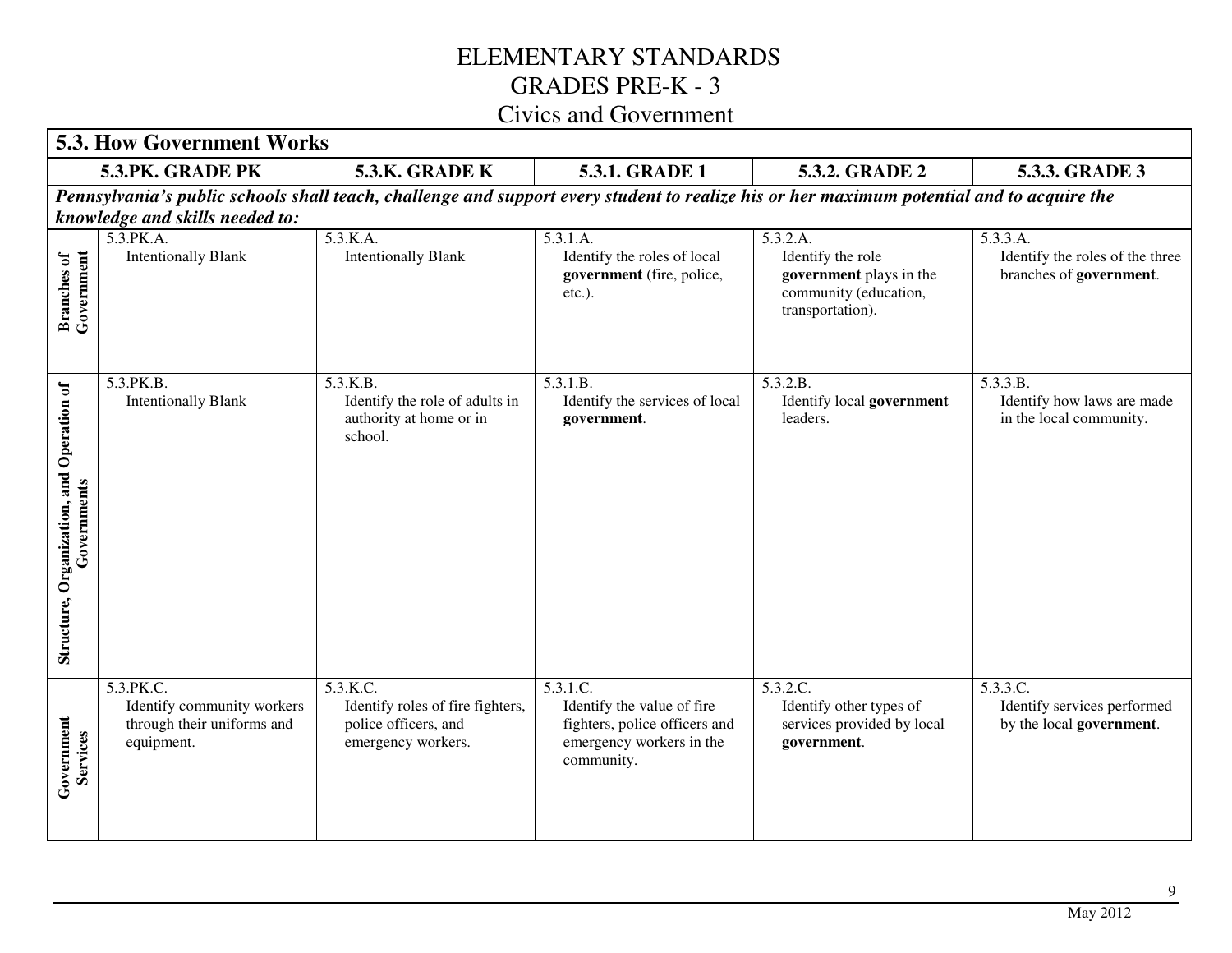|                                                          | <b>5.3. How Government Works</b>                                                    |                                                                                                                                           |                                                                                                                   |                                                                                                       |                                                                        |
|----------------------------------------------------------|-------------------------------------------------------------------------------------|-------------------------------------------------------------------------------------------------------------------------------------------|-------------------------------------------------------------------------------------------------------------------|-------------------------------------------------------------------------------------------------------|------------------------------------------------------------------------|
|                                                          | 5.3.PK. GRADE PK                                                                    | 5.3.K. GRADE K                                                                                                                            | 5.3.1. GRADE 1                                                                                                    | 5.3.2. GRADE 2                                                                                        | 5.3.3. GRADE 3                                                         |
|                                                          | knowledge and skills needed to:                                                     | Pennsylvania's public schools shall teach, challenge and support every student to realize his or her maximum potential and to acquire the |                                                                                                                   |                                                                                                       |                                                                        |
| Government<br><b>Branches</b> of                         | 5.3.PK.A.<br><b>Intentionally Blank</b>                                             | $\overline{5.3.K.A.}$<br><b>Intentionally Blank</b>                                                                                       | 5.3.1.A.<br>Identify the roles of local<br>government (fire, police,<br>$etc.$ ).                                 | 5.3.2.A.<br>Identify the role<br>government plays in the<br>community (education,<br>transportation). | 5.3.3.A.<br>Identify the roles of the three<br>branches of government. |
| Structure, Organization, and Operation of<br>Governments | 5.3.PK.B.<br><b>Intentionally Blank</b>                                             | 5.3.K.B.<br>Identify the role of adults in<br>authority at home or in<br>school.                                                          | 5.3.1.B.<br>Identify the services of local<br>government.                                                         | 5.3.2.B.<br>Identify local government<br>leaders.                                                     | 5.3.3.B.<br>Identify how laws are made<br>in the local community.      |
| Government<br>Services                                   | 5.3.PK.C.<br>Identify community workers<br>through their uniforms and<br>equipment. | 5.3.K.C.<br>Identify roles of fire fighters,<br>police officers, and<br>emergency workers.                                                | 5.3.1.C.<br>Identify the value of fire<br>fighters, police officers and<br>emergency workers in the<br>community. | 5.3.2.C.<br>Identify other types of<br>services provided by local<br>government.                      | 5.3.3.C.<br>Identify services performed<br>by the local government.    |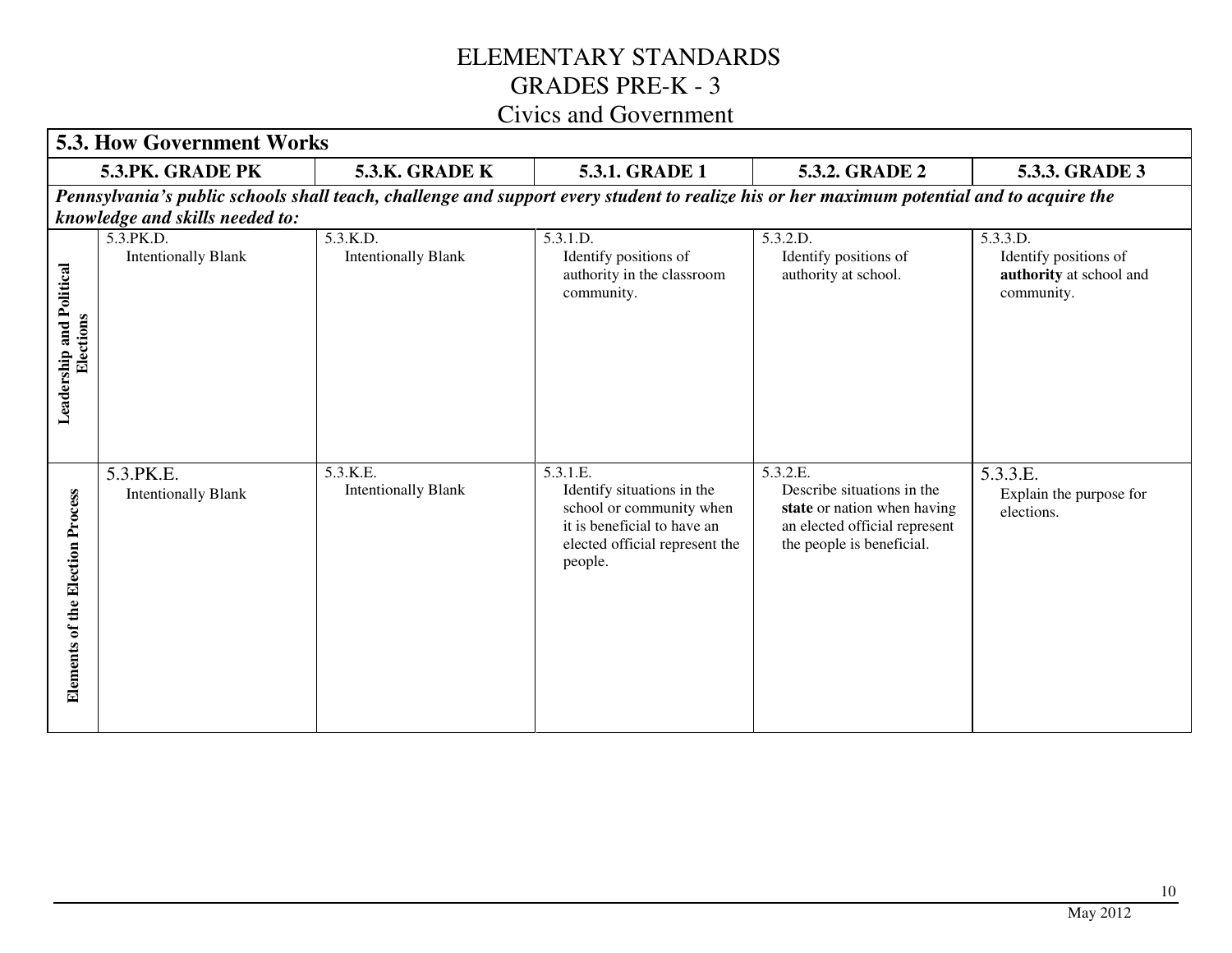| <b>5.3. How Government Works</b>              |                                         |                                        |                                                                                                                                                |                                                                                                                                     |                                                                            |
|-----------------------------------------------|-----------------------------------------|----------------------------------------|------------------------------------------------------------------------------------------------------------------------------------------------|-------------------------------------------------------------------------------------------------------------------------------------|----------------------------------------------------------------------------|
|                                               | 5.3.PK. GRADE PK                        | 5.3.K. GRADE K                         | 5.3.1. GRADE 1                                                                                                                                 | 5.3.2. GRADE 2                                                                                                                      | 5.3.3. GRADE 3                                                             |
|                                               | knowledge and skills needed to:         |                                        | Pennsylvania's public schools shall teach, challenge and support every student to realize his or her maximum potential and to acquire the      |                                                                                                                                     |                                                                            |
| Leadership and Political<br>Elections         | 5.3.PK.D.<br><b>Intentionally Blank</b> | 5.3.K.D.<br><b>Intentionally Blank</b> | 5.3.1.D.<br>Identify positions of<br>authority in the classroom<br>community.                                                                  | 5.3.2.D.<br>Identify positions of<br>authority at school.                                                                           | 5.3.3.D.<br>Identify positions of<br>authority at school and<br>community. |
| <b>Election Process</b><br>of the<br>Elements | 5.3.PK.E.<br><b>Intentionally Blank</b> | 5.3.K.E.<br><b>Intentionally Blank</b> | 5.3.1.E.<br>Identify situations in the<br>school or community when<br>it is beneficial to have an<br>elected official represent the<br>people. | 5.3.2.E.<br>Describe situations in the<br>state or nation when having<br>an elected official represent<br>the people is beneficial. | 5.3.3.E.<br>Explain the purpose for<br>elections.                          |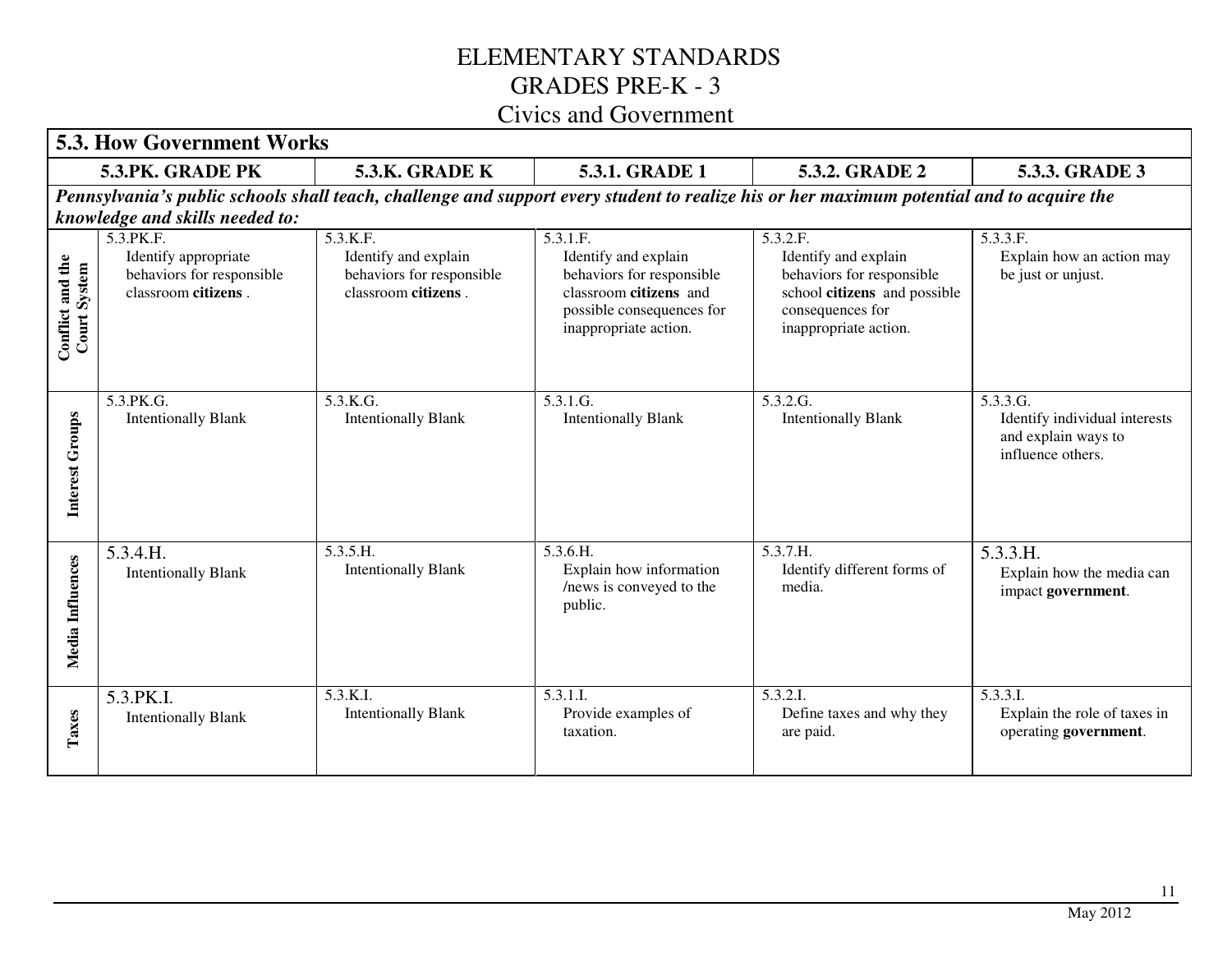|                                  | <b>5.3. How Government Works</b>                                                       |                                                                                      |                                                                                                                                               |                                                                                                                                            |                                                                                       |
|----------------------------------|----------------------------------------------------------------------------------------|--------------------------------------------------------------------------------------|-----------------------------------------------------------------------------------------------------------------------------------------------|--------------------------------------------------------------------------------------------------------------------------------------------|---------------------------------------------------------------------------------------|
|                                  | 5.3.PK. GRADE PK                                                                       | 5.3.K. GRADE K                                                                       | 5.3.1. GRADE 1                                                                                                                                | 5.3.2. GRADE 2                                                                                                                             | 5.3.3. GRADE 3                                                                        |
|                                  | knowledge and skills needed to:                                                        |                                                                                      |                                                                                                                                               | Pennsylvania's public schools shall teach, challenge and support every student to realize his or her maximum potential and to acquire the  |                                                                                       |
| Conflict and the<br>Court System | 5.3. PK.F.<br>Identify appropriate<br>behaviors for responsible<br>classroom citizens. | 5.3.K.F.<br>Identify and explain<br>behaviors for responsible<br>classroom citizens. | 5.3.1.F.<br>Identify and explain<br>behaviors for responsible<br>classroom citizens and<br>possible consequences for<br>inappropriate action. | 5.3.2.F.<br>Identify and explain<br>behaviors for responsible<br>school citizens and possible<br>consequences for<br>inappropriate action. | 5.3.3.F.<br>Explain how an action may<br>be just or unjust.                           |
| Interest Groups                  | 5.3.PK.G.<br><b>Intentionally Blank</b>                                                | 5.3.K.G.<br><b>Intentionally Blank</b>                                               | 5.3.1.G.<br><b>Intentionally Blank</b>                                                                                                        | 5.3.2.G.<br><b>Intentionally Blank</b>                                                                                                     | 5.3.3.G.<br>Identify individual interests<br>and explain ways to<br>influence others. |
| Media Influences                 | 5.3.4.H.<br><b>Intentionally Blank</b>                                                 | 5.3.5.H.<br><b>Intentionally Blank</b>                                               | 5.3.6.H.<br>Explain how information<br>/news is conveyed to the<br>public.                                                                    | 5.3.7.H.<br>Identify different forms of<br>media.                                                                                          | 5.3.3.H.<br>Explain how the media can<br>impact government.                           |
| Taxes                            | 5.3.PK.I.<br><b>Intentionally Blank</b>                                                | 5.3.K.I.<br><b>Intentionally Blank</b>                                               | 5.3.1.I.<br>Provide examples of<br>taxation.                                                                                                  | 5.3.2.I.<br>Define taxes and why they<br>are paid.                                                                                         | 5.3.3.1<br>Explain the role of taxes in<br>operating government.                      |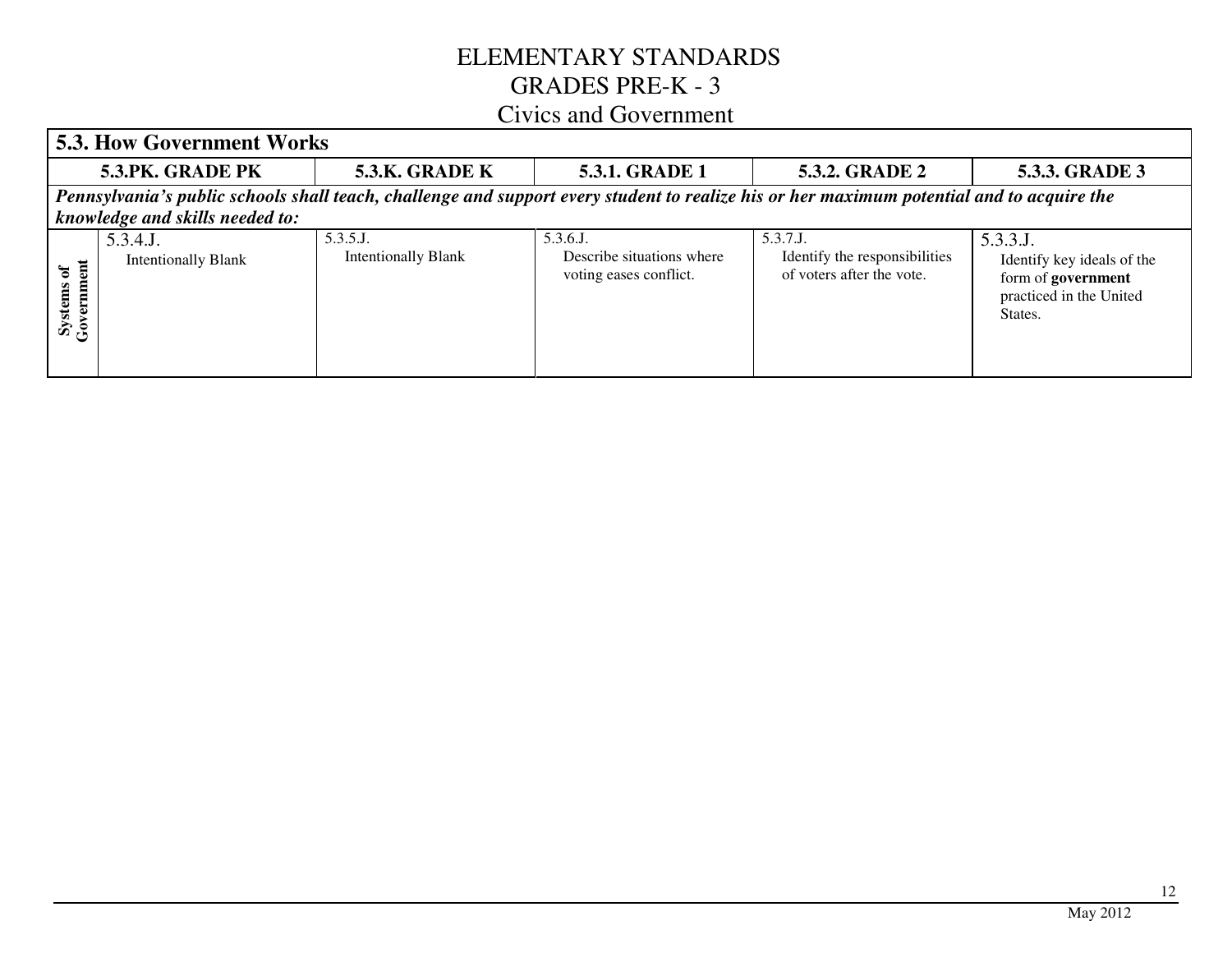#### **5.3. How Government Works 5.3.PK. GRADE PK**  5.3.K. GRADE K 5.3.1. GRADE 1 5.3.2. GRADE 2 **5.3.3. GRADE 3**  *Pennsylvania's public schools shall teach, challenge and support every student to realize his or her maximum potential and to acquire the knowledge and skills needed to:*5.3.5.J. 5.3.4.J. 5.3.6.J. 5.3.7.J. 5.3.3.J. Intentionally Blank Describe situations where Identify the responsibilities Intentionally Blank Identify key ideals of the Systems of<br>Government **Government Systems of**  voting eases conflict. of voters after the vote. form of **government** practiced in the United States.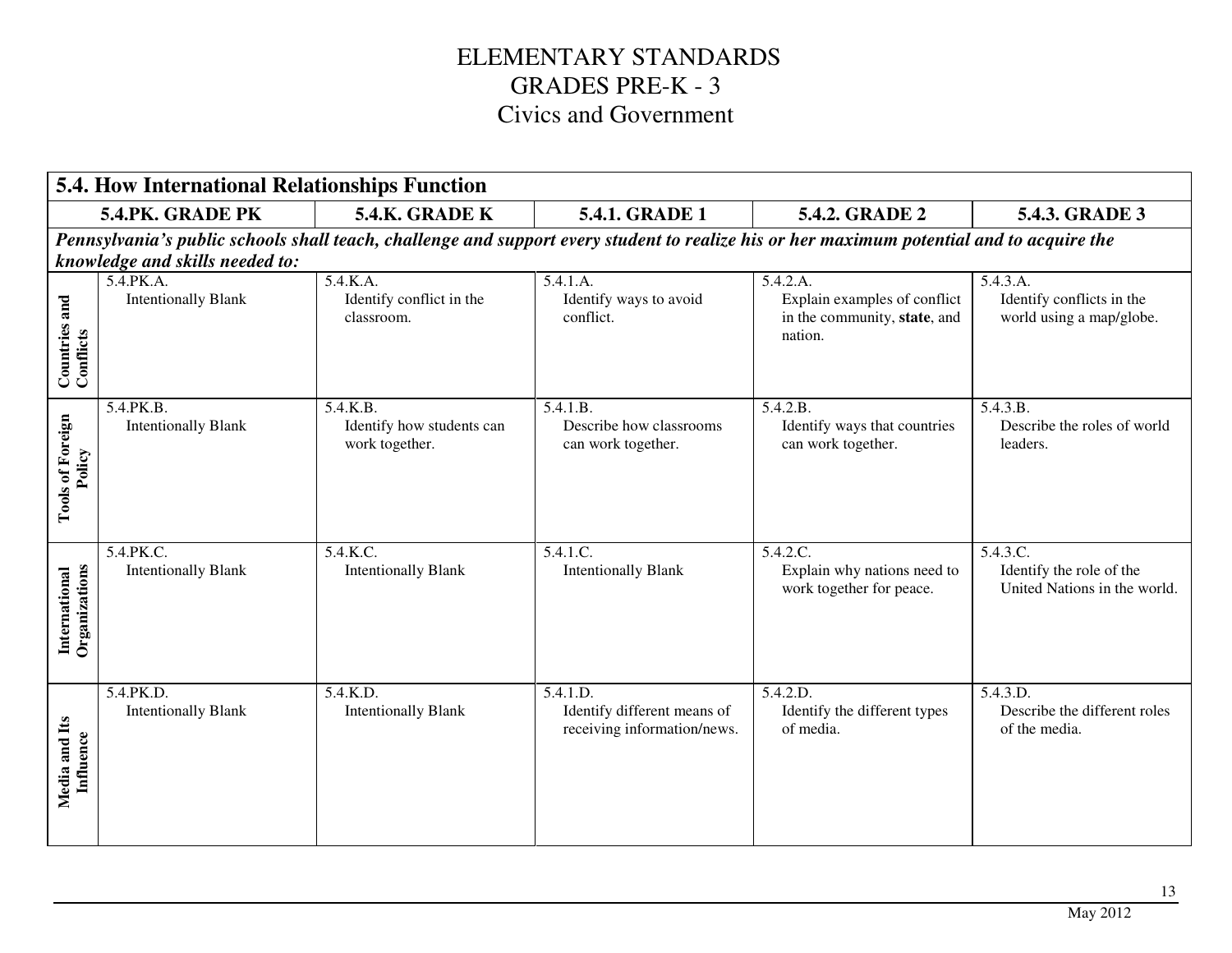|                                    | <b>5.4. How International Relationships Function</b> |                                                         |                                                                                                                                           |                                                                                     |                                                                      |
|------------------------------------|------------------------------------------------------|---------------------------------------------------------|-------------------------------------------------------------------------------------------------------------------------------------------|-------------------------------------------------------------------------------------|----------------------------------------------------------------------|
|                                    | 5.4.PK. GRADE PK                                     | <b>5.4.K. GRADE K</b>                                   | 5.4.1. GRADE 1                                                                                                                            | 5.4.2. GRADE 2                                                                      | 5.4.3. GRADE 3                                                       |
|                                    | knowledge and skills needed to:                      |                                                         | Pennsylvania's public schools shall teach, challenge and support every student to realize his or her maximum potential and to acquire the |                                                                                     |                                                                      |
| <b>Countries and<br/>Conflicts</b> | 5.4.PK.A.<br><b>Intentionally Blank</b>              | 5.4.K.A.<br>Identify conflict in the<br>classroom.      | 5.4.1.A.<br>Identify ways to avoid<br>conflict.                                                                                           | 5.4.2.A.<br>Explain examples of conflict<br>in the community, state, and<br>nation. | 5.4.3.A.<br>Identify conflicts in the<br>world using a map/globe.    |
| <b>Tools of Foreign</b><br>Policy  | 5.4.PK.B.<br><b>Intentionally Blank</b>              | 5.4.K.B.<br>Identify how students can<br>work together. | 5.4.1.B.<br>Describe how classrooms<br>can work together.                                                                                 | 5.4.2.B.<br>Identify ways that countries<br>can work together.                      | 5.4.3.B.<br>Describe the roles of world<br>leaders.                  |
| Organizations<br>International     | 5.4.PK.C.<br><b>Intentionally Blank</b>              | 5.4.K.C.<br><b>Intentionally Blank</b>                  | 5.4.1.C.<br><b>Intentionally Blank</b>                                                                                                    | 5.4.2.C.<br>Explain why nations need to<br>work together for peace.                 | 5.4.3.C.<br>Identify the role of the<br>United Nations in the world. |
| Media and Its<br>Influence         | 5.4.PK.D.<br><b>Intentionally Blank</b>              | 5.4.K.D.<br><b>Intentionally Blank</b>                  | 5.4.1.D.<br>Identify different means of<br>receiving information/news.                                                                    | 5.4.2.D.<br>Identify the different types<br>of media.                               | 5.4.3.D.<br>Describe the different roles<br>of the media.            |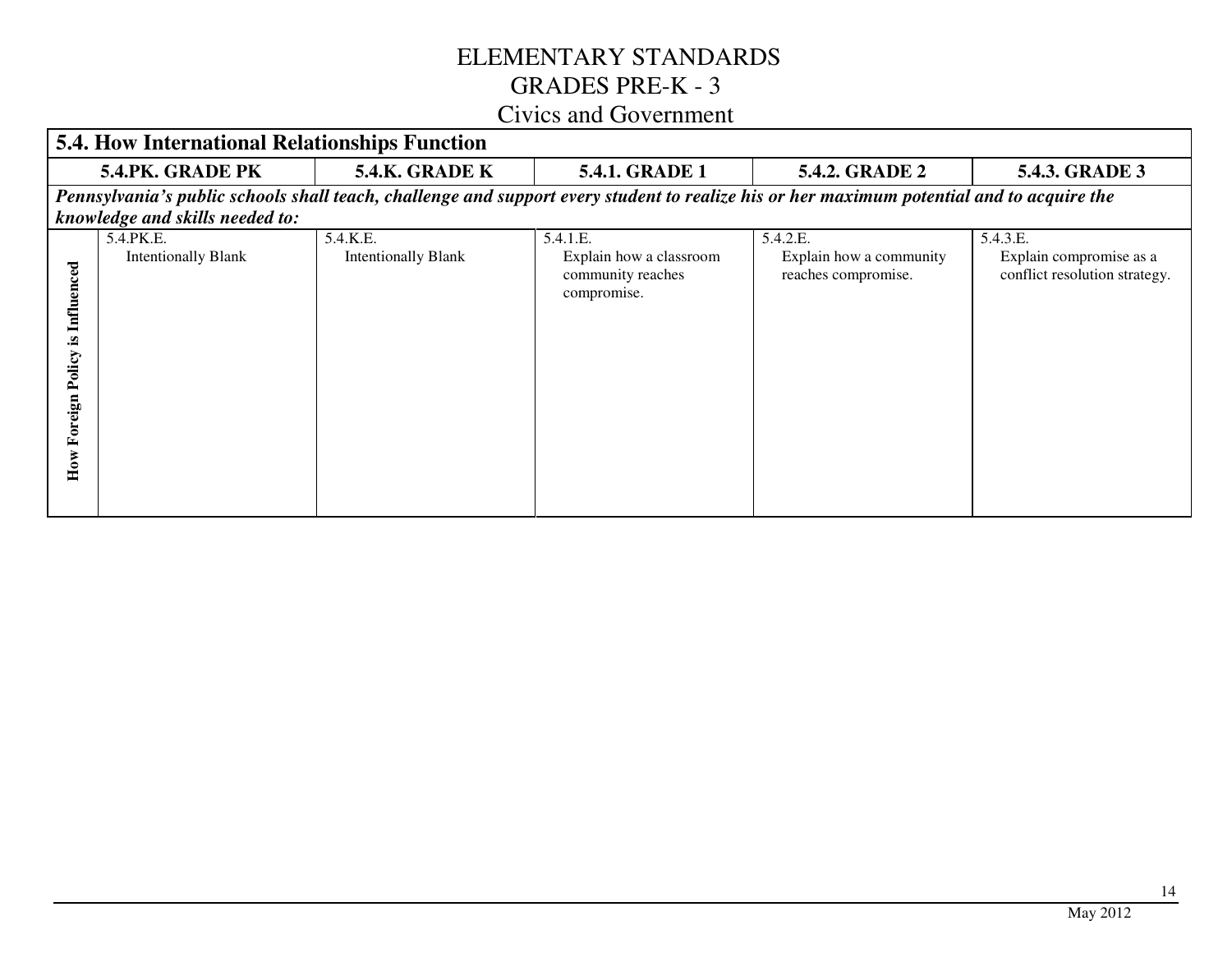# ELEMENTARY STANDARDS GRADES PRE-K - 3

#### Civics and Government

|                                                     | <b>5.4. How International Relationships Function</b> |                                        |                                                                         |                                                                                                                                           |                                                                      |
|-----------------------------------------------------|------------------------------------------------------|----------------------------------------|-------------------------------------------------------------------------|-------------------------------------------------------------------------------------------------------------------------------------------|----------------------------------------------------------------------|
|                                                     | 5.4.PK. GRADE PK                                     | <b>5.4.K. GRADE K</b>                  | <b>5.4.1. GRADE 1</b>                                                   | <b>5.4.2. GRADE 2</b>                                                                                                                     | <b>5.4.3. GRADE 3</b>                                                |
|                                                     |                                                      |                                        |                                                                         | Pennsylvania's public schools shall teach, challenge and support every student to realize his or her maximum potential and to acquire the |                                                                      |
|                                                     | knowledge and skills needed to:                      |                                        |                                                                         |                                                                                                                                           |                                                                      |
| <b>Influenced</b><br>≌.<br>Policy<br>Foreign<br>How | 5.4.PK.E.<br><b>Intentionally Blank</b>              | 5.4.K.E.<br><b>Intentionally Blank</b> | 5.4.1.E.<br>Explain how a classroom<br>community reaches<br>compromise. | 5.4.2.E.<br>Explain how a community<br>reaches compromise.                                                                                | 5.4.3.E.<br>Explain compromise as a<br>conflict resolution strategy. |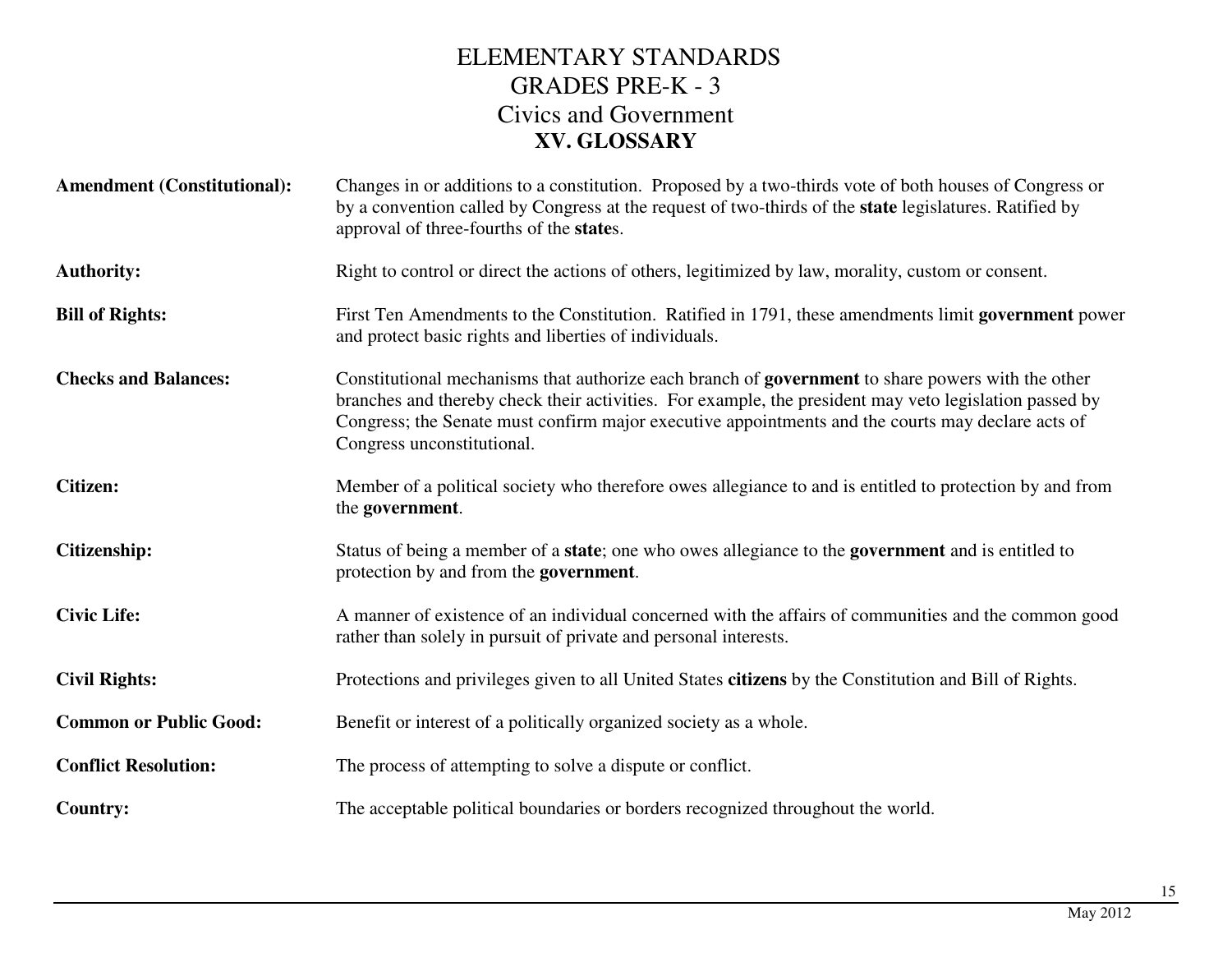| <b>Amendment (Constitutional):</b> | Changes in or additions to a constitution. Proposed by a two-thirds vote of both houses of Congress or<br>by a convention called by Congress at the request of two-thirds of the <b>state</b> legislatures. Ratified by<br>approval of three-fourths of the states.                                                                                   |
|------------------------------------|-------------------------------------------------------------------------------------------------------------------------------------------------------------------------------------------------------------------------------------------------------------------------------------------------------------------------------------------------------|
| <b>Authority:</b>                  | Right to control or direct the actions of others, legitimized by law, morality, custom or consent.                                                                                                                                                                                                                                                    |
| <b>Bill of Rights:</b>             | First Ten Amendments to the Constitution. Ratified in 1791, these amendments limit government power<br>and protect basic rights and liberties of individuals.                                                                                                                                                                                         |
| <b>Checks and Balances:</b>        | Constitutional mechanisms that authorize each branch of <b>government</b> to share powers with the other<br>branches and thereby check their activities. For example, the president may veto legislation passed by<br>Congress; the Senate must confirm major executive appointments and the courts may declare acts of<br>Congress unconstitutional. |
| <b>Citizen:</b>                    | Member of a political society who therefore owes allegiance to and is entitled to protection by and from<br>the government.                                                                                                                                                                                                                           |
| <b>Citizenship:</b>                | Status of being a member of a state; one who owes allegiance to the government and is entitled to<br>protection by and from the government.                                                                                                                                                                                                           |
| <b>Civic Life:</b>                 | A manner of existence of an individual concerned with the affairs of communities and the common good<br>rather than solely in pursuit of private and personal interests.                                                                                                                                                                              |
| <b>Civil Rights:</b>               | Protections and privileges given to all United States citizens by the Constitution and Bill of Rights.                                                                                                                                                                                                                                                |
| <b>Common or Public Good:</b>      | Benefit or interest of a politically organized society as a whole.                                                                                                                                                                                                                                                                                    |
| <b>Conflict Resolution:</b>        | The process of attempting to solve a dispute or conflict.                                                                                                                                                                                                                                                                                             |
| <b>Country:</b>                    | The acceptable political boundaries or borders recognized throughout the world.                                                                                                                                                                                                                                                                       |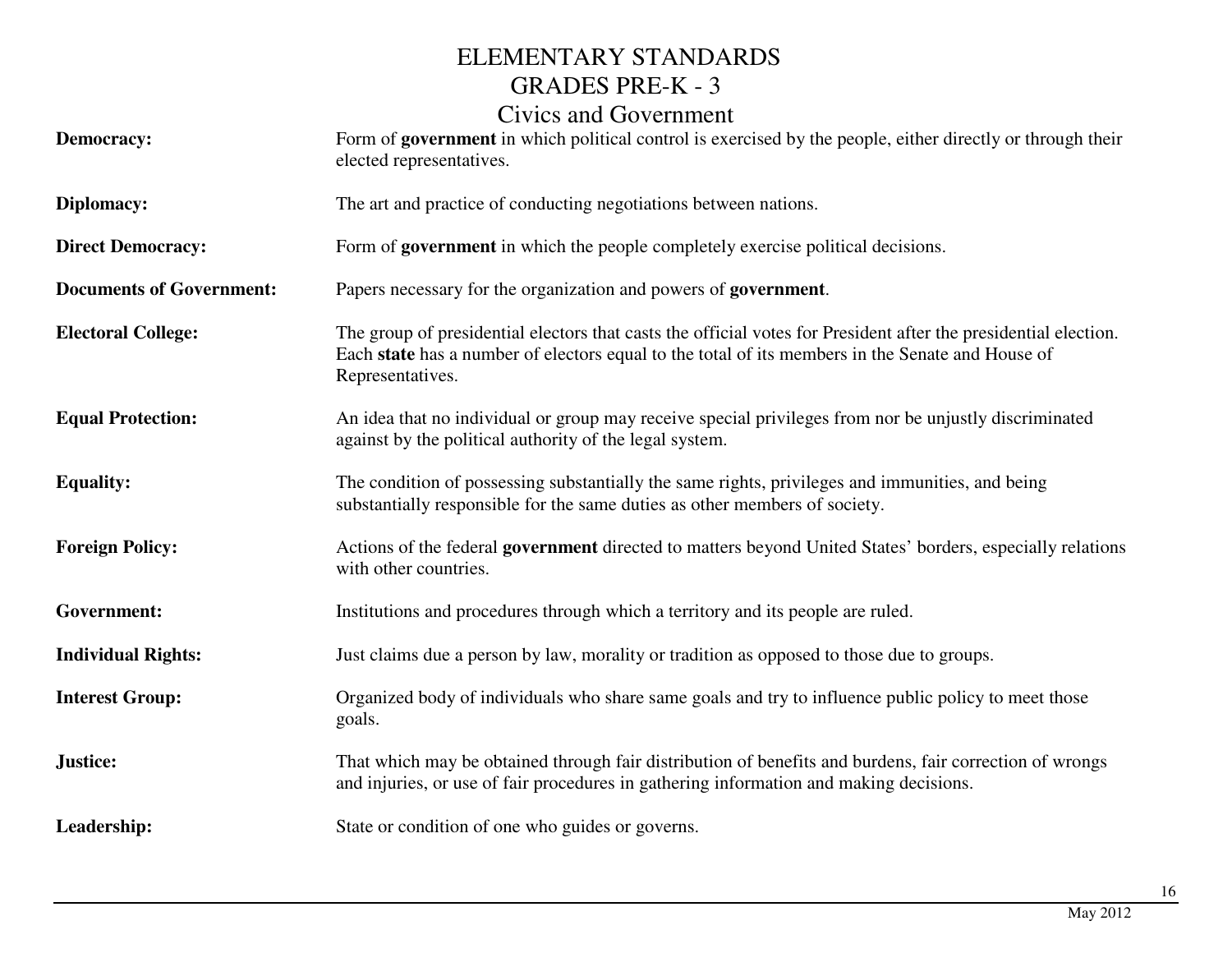#### ELEMENTARY STANDARDS GRADES PRE-K - 3

### Civics and Government

| <b>Democracy:</b>               | Form of government in which political control is exercised by the people, either directly or through their<br>elected representatives.                                                                                                  |
|---------------------------------|-----------------------------------------------------------------------------------------------------------------------------------------------------------------------------------------------------------------------------------------|
| Diplomacy:                      | The art and practice of conducting negotiations between nations.                                                                                                                                                                        |
| <b>Direct Democracy:</b>        | Form of <b>government</b> in which the people completely exercise political decisions.                                                                                                                                                  |
| <b>Documents of Government:</b> | Papers necessary for the organization and powers of government.                                                                                                                                                                         |
| <b>Electoral College:</b>       | The group of presidential electors that casts the official votes for President after the presidential election.<br>Each state has a number of electors equal to the total of its members in the Senate and House of<br>Representatives. |
| <b>Equal Protection:</b>        | An idea that no individual or group may receive special privileges from nor be unjustly discriminated<br>against by the political authority of the legal system.                                                                        |
| <b>Equality:</b>                | The condition of possessing substantially the same rights, privileges and immunities, and being<br>substantially responsible for the same duties as other members of society.                                                           |
| <b>Foreign Policy:</b>          | Actions of the federal government directed to matters beyond United States' borders, especially relations<br>with other countries.                                                                                                      |
| <b>Government:</b>              | Institutions and procedures through which a territory and its people are ruled.                                                                                                                                                         |
| <b>Individual Rights:</b>       | Just claims due a person by law, morality or tradition as opposed to those due to groups.                                                                                                                                               |
| <b>Interest Group:</b>          | Organized body of individuals who share same goals and try to influence public policy to meet those<br>goals.                                                                                                                           |
| Justice:                        | That which may be obtained through fair distribution of benefits and burdens, fair correction of wrongs<br>and injuries, or use of fair procedures in gathering information and making decisions.                                       |
| Leadership:                     | State or condition of one who guides or governs.                                                                                                                                                                                        |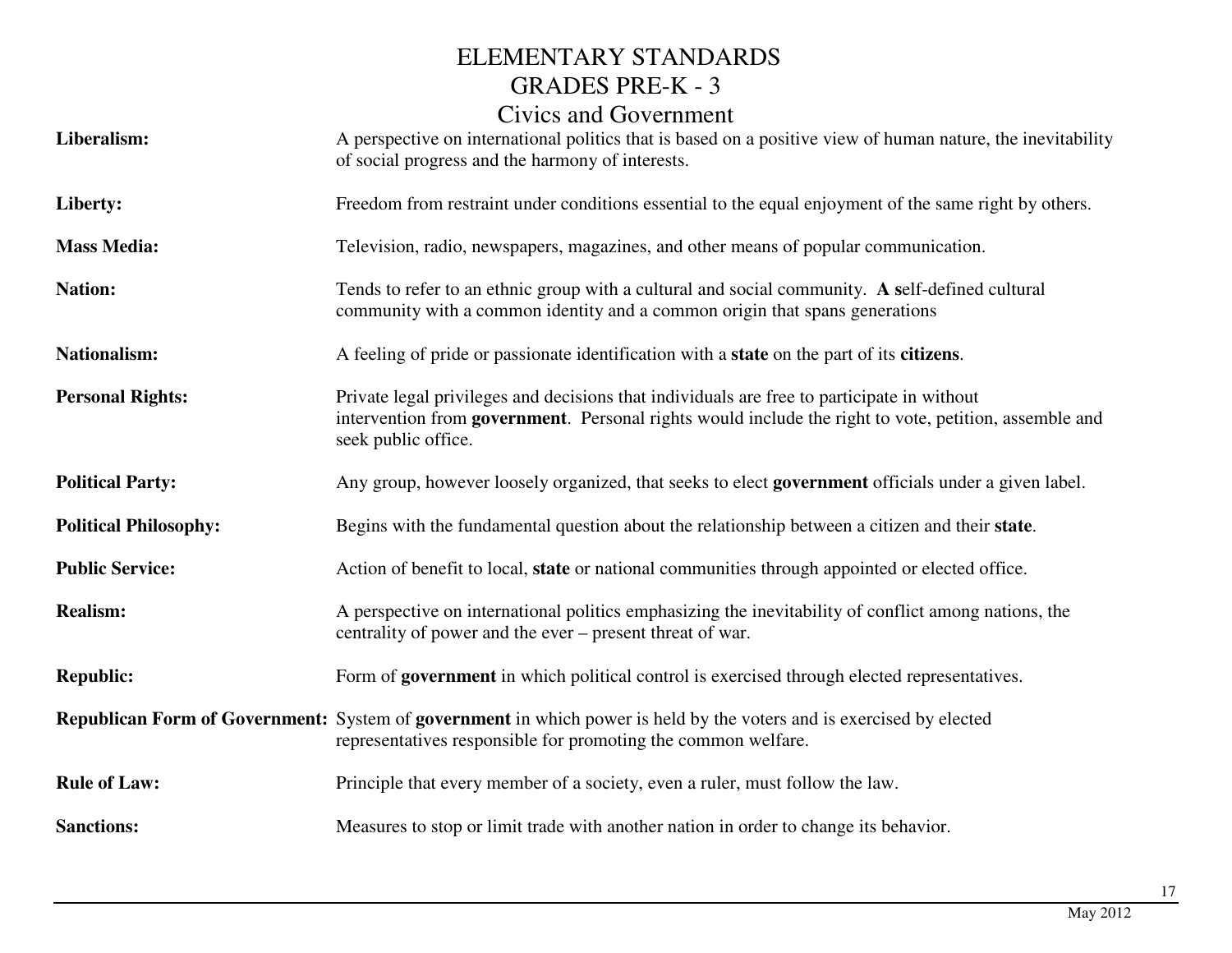| Liberalism:                  | Clynus and Ovvermindin<br>A perspective on international politics that is based on a positive view of human nature, the inevitability<br>of social progress and the harmony of interests.                                  |
|------------------------------|----------------------------------------------------------------------------------------------------------------------------------------------------------------------------------------------------------------------------|
| Liberty:                     | Freedom from restraint under conditions essential to the equal enjoyment of the same right by others.                                                                                                                      |
| <b>Mass Media:</b>           | Television, radio, newspapers, magazines, and other means of popular communication.                                                                                                                                        |
| <b>Nation:</b>               | Tends to refer to an ethnic group with a cultural and social community. A self-defined cultural<br>community with a common identity and a common origin that spans generations                                             |
| <b>Nationalism:</b>          | A feeling of pride or passionate identification with a <b>state</b> on the part of its <b>citizens</b> .                                                                                                                   |
| <b>Personal Rights:</b>      | Private legal privileges and decisions that individuals are free to participate in without<br>intervention from government. Personal rights would include the right to vote, petition, assemble and<br>seek public office. |
| <b>Political Party:</b>      | Any group, however loosely organized, that seeks to elect government officials under a given label.                                                                                                                        |
| <b>Political Philosophy:</b> | Begins with the fundamental question about the relationship between a citizen and their state.                                                                                                                             |
| <b>Public Service:</b>       | Action of benefit to local, state or national communities through appointed or elected office.                                                                                                                             |
| <b>Realism:</b>              | A perspective on international politics emphasizing the inevitability of conflict among nations, the<br>centrality of power and the ever – present threat of war.                                                          |
| <b>Republic:</b>             | Form of government in which political control is exercised through elected representatives.                                                                                                                                |
|                              | <b>Republican Form of Government:</b> System of government in which power is held by the voters and is exercised by elected<br>representatives responsible for promoting the common welfare.                               |
| <b>Rule of Law:</b>          | Principle that every member of a society, even a ruler, must follow the law.                                                                                                                                               |
| <b>Sanctions:</b>            | Measures to stop or limit trade with another nation in order to change its behavior.                                                                                                                                       |